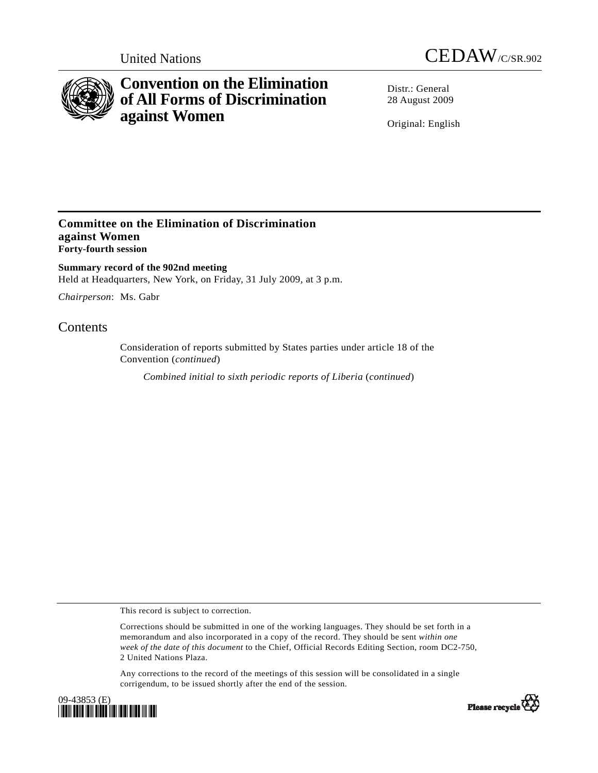



# **Convention on the Elimination of All Forms of Discrimination against Women**

Distr · General 28 August 2009

Original: English

### **Committee on the Elimination of Discrimination against Women Forty-fourth session**

**Summary record of the 902nd meeting**  Held at Headquarters, New York, on Friday, 31 July 2009, at 3 p.m.

*Chairperson*: Ms. Gabr

## **Contents**

Consideration of reports submitted by States parties under article 18 of the Convention (*continued*)

*Combined initial to sixth periodic reports of Liberia* (*continued*)

This record is subject to correction.

Corrections should be submitted in one of the working languages. They should be set forth in a memorandum and also incorporated in a copy of the record. They should be sent *within one week of the date of this document* to the Chief, Official Records Editing Section, room DC2-750, 2 United Nations Plaza.

Any corrections to the record of the meetings of this session will be consolidated in a single corrigendum, to be issued shortly after the end of the session.



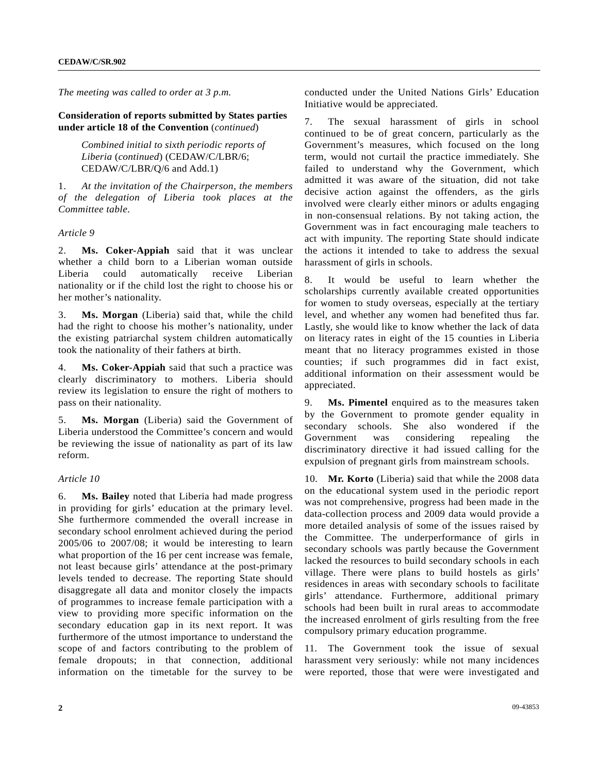*The meeting was called to order at 3 p.m.* 

**Consideration of reports submitted by States parties under article 18 of the Convention** (*continued*)

 *Combined initial to sixth periodic reports of Liberia* (*continued*) (CEDAW/C/LBR/6; CEDAW/C/LBR/Q/6 and Add.1)

1. *At the invitation of the Chairperson, the members of the delegation of Liberia took places at the Committee table*.

*Article 9* 

2. **Ms. Coker-Appiah** said that it was unclear whether a child born to a Liberian woman outside Liberia could automatically receive Liberian nationality or if the child lost the right to choose his or her mother's nationality.

3. **Ms. Morgan** (Liberia) said that, while the child had the right to choose his mother's nationality, under the existing patriarchal system children automatically took the nationality of their fathers at birth.

4. **Ms. Coker-Appiah** said that such a practice was clearly discriminatory to mothers. Liberia should review its legislation to ensure the right of mothers to pass on their nationality.

5. **Ms. Morgan** (Liberia) said the Government of Liberia understood the Committee's concern and would be reviewing the issue of nationality as part of its law reform.

#### *Article 10*

6. **Ms. Bailey** noted that Liberia had made progress in providing for girls' education at the primary level. She furthermore commended the overall increase in secondary school enrolment achieved during the period 2005/06 to 2007/08; it would be interesting to learn what proportion of the 16 per cent increase was female, not least because girls' attendance at the post-primary levels tended to decrease. The reporting State should disaggregate all data and monitor closely the impacts of programmes to increase female participation with a view to providing more specific information on the secondary education gap in its next report. It was furthermore of the utmost importance to understand the scope of and factors contributing to the problem of female dropouts; in that connection, additional information on the timetable for the survey to be

conducted under the United Nations Girls' Education Initiative would be appreciated.

7. The sexual harassment of girls in school continued to be of great concern, particularly as the Government's measures, which focused on the long term, would not curtail the practice immediately. She failed to understand why the Government, which admitted it was aware of the situation, did not take decisive action against the offenders, as the girls involved were clearly either minors or adults engaging in non-consensual relations. By not taking action, the Government was in fact encouraging male teachers to act with impunity. The reporting State should indicate the actions it intended to take to address the sexual harassment of girls in schools.

8. It would be useful to learn whether the scholarships currently available created opportunities for women to study overseas, especially at the tertiary level, and whether any women had benefited thus far. Lastly, she would like to know whether the lack of data on literacy rates in eight of the 15 counties in Liberia meant that no literacy programmes existed in those counties; if such programmes did in fact exist, additional information on their assessment would be appreciated.

9. **Ms. Pimentel** enquired as to the measures taken by the Government to promote gender equality in secondary schools. She also wondered if the Government was considering repealing the discriminatory directive it had issued calling for the expulsion of pregnant girls from mainstream schools.

10. **Mr. Korto** (Liberia) said that while the 2008 data on the educational system used in the periodic report was not comprehensive, progress had been made in the data-collection process and 2009 data would provide a more detailed analysis of some of the issues raised by the Committee. The underperformance of girls in secondary schools was partly because the Government lacked the resources to build secondary schools in each village. There were plans to build hostels as girls' residences in areas with secondary schools to facilitate girls' attendance. Furthermore, additional primary schools had been built in rural areas to accommodate the increased enrolment of girls resulting from the free compulsory primary education programme.

11. The Government took the issue of sexual harassment very seriously: while not many incidences were reported, those that were were investigated and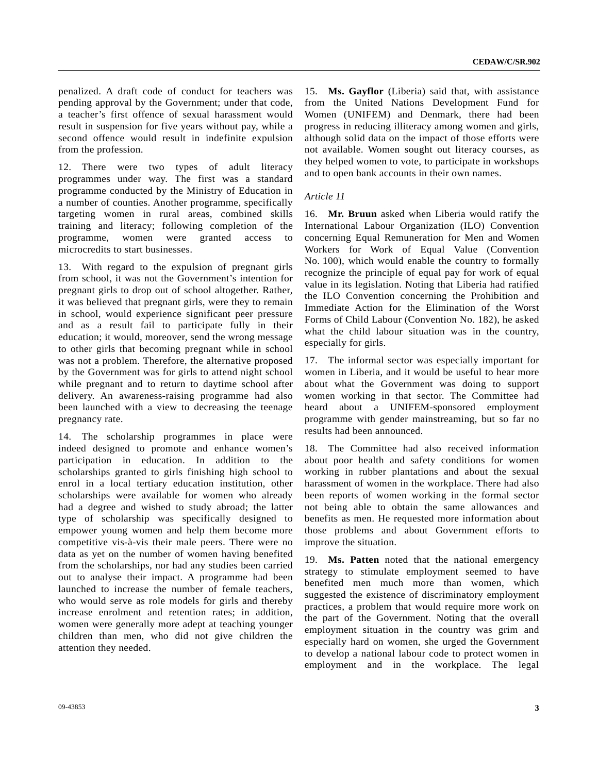penalized. A draft code of conduct for teachers was pending approval by the Government; under that code, a teacher's first offence of sexual harassment would result in suspension for five years without pay, while a second offence would result in indefinite expulsion from the profession.

12. There were two types of adult literacy programmes under way. The first was a standard programme conducted by the Ministry of Education in a number of counties. Another programme, specifically targeting women in rural areas, combined skills training and literacy; following completion of the programme, women were granted access to microcredits to start businesses.

13. With regard to the expulsion of pregnant girls from school, it was not the Government's intention for pregnant girls to drop out of school altogether. Rather, it was believed that pregnant girls, were they to remain in school, would experience significant peer pressure and as a result fail to participate fully in their education; it would, moreover, send the wrong message to other girls that becoming pregnant while in school was not a problem. Therefore, the alternative proposed by the Government was for girls to attend night school while pregnant and to return to daytime school after delivery. An awareness-raising programme had also been launched with a view to decreasing the teenage pregnancy rate.

14. The scholarship programmes in place were indeed designed to promote and enhance women's participation in education. In addition to the scholarships granted to girls finishing high school to enrol in a local tertiary education institution, other scholarships were available for women who already had a degree and wished to study abroad; the latter type of scholarship was specifically designed to empower young women and help them become more competitive vis-à-vis their male peers. There were no data as yet on the number of women having benefited from the scholarships, nor had any studies been carried out to analyse their impact. A programme had been launched to increase the number of female teachers, who would serve as role models for girls and thereby increase enrolment and retention rates; in addition, women were generally more adept at teaching younger children than men, who did not give children the attention they needed.

15. **Ms. Gayflor** (Liberia) said that, with assistance from the United Nations Development Fund for Women (UNIFEM) and Denmark, there had been progress in reducing illiteracy among women and girls, although solid data on the impact of those efforts were not available. Women sought out literacy courses, as they helped women to vote, to participate in workshops and to open bank accounts in their own names.

#### *Article 11*

16. **Mr. Bruun** asked when Liberia would ratify the International Labour Organization (ILO) Convention concerning Equal Remuneration for Men and Women Workers for Work of Equal Value (Convention No. 100), which would enable the country to formally recognize the principle of equal pay for work of equal value in its legislation. Noting that Liberia had ratified the ILO Convention concerning the Prohibition and Immediate Action for the Elimination of the Worst Forms of Child Labour (Convention No. 182), he asked what the child labour situation was in the country, especially for girls.

17. The informal sector was especially important for women in Liberia, and it would be useful to hear more about what the Government was doing to support women working in that sector. The Committee had heard about a UNIFEM-sponsored employment programme with gender mainstreaming, but so far no results had been announced.

18. The Committee had also received information about poor health and safety conditions for women working in rubber plantations and about the sexual harassment of women in the workplace. There had also been reports of women working in the formal sector not being able to obtain the same allowances and benefits as men. He requested more information about those problems and about Government efforts to improve the situation.

19. **Ms. Patten** noted that the national emergency strategy to stimulate employment seemed to have benefited men much more than women, which suggested the existence of discriminatory employment practices, a problem that would require more work on the part of the Government. Noting that the overall employment situation in the country was grim and especially hard on women, she urged the Government to develop a national labour code to protect women in employment and in the workplace. The legal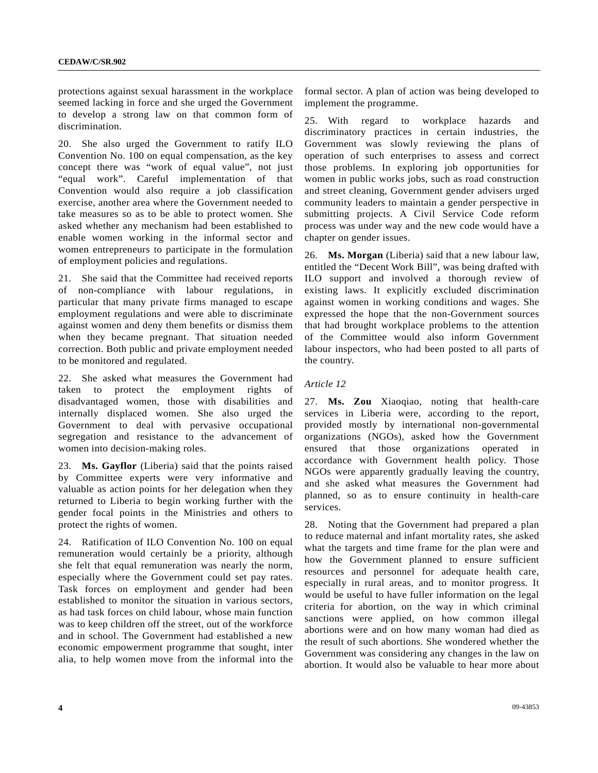protections against sexual harassment in the workplace seemed lacking in force and she urged the Government to develop a strong law on that common form of discrimination.

20. She also urged the Government to ratify ILO Convention No. 100 on equal compensation, as the key concept there was "work of equal value", not just "equal work". Careful implementation of that Convention would also require a job classification exercise, another area where the Government needed to take measures so as to be able to protect women. She asked whether any mechanism had been established to enable women working in the informal sector and women entrepreneurs to participate in the formulation of employment policies and regulations.

21. She said that the Committee had received reports of non-compliance with labour regulations, in particular that many private firms managed to escape employment regulations and were able to discriminate against women and deny them benefits or dismiss them when they became pregnant. That situation needed correction. Both public and private employment needed to be monitored and regulated.

22. She asked what measures the Government had taken to protect the employment rights of disadvantaged women, those with disabilities and internally displaced women. She also urged the Government to deal with pervasive occupational segregation and resistance to the advancement of women into decision-making roles.

23. **Ms. Gayflor** (Liberia) said that the points raised by Committee experts were very informative and valuable as action points for her delegation when they returned to Liberia to begin working further with the gender focal points in the Ministries and others to protect the rights of women.

24. Ratification of ILO Convention No. 100 on equal remuneration would certainly be a priority, although she felt that equal remuneration was nearly the norm, especially where the Government could set pay rates. Task forces on employment and gender had been established to monitor the situation in various sectors, as had task forces on child labour, whose main function was to keep children off the street, out of the workforce and in school. The Government had established a new economic empowerment programme that sought, inter alia, to help women move from the informal into the formal sector. A plan of action was being developed to implement the programme.

25. With regard to workplace hazards and discriminatory practices in certain industries, the Government was slowly reviewing the plans of operation of such enterprises to assess and correct those problems. In exploring job opportunities for women in public works jobs, such as road construction and street cleaning, Government gender advisers urged community leaders to maintain a gender perspective in submitting projects. A Civil Service Code reform process was under way and the new code would have a chapter on gender issues.

26. **Ms. Morgan** (Liberia) said that a new labour law, entitled the "Decent Work Bill", was being drafted with ILO support and involved a thorough review of existing laws. It explicitly excluded discrimination against women in working conditions and wages. She expressed the hope that the non-Government sources that had brought workplace problems to the attention of the Committee would also inform Government labour inspectors, who had been posted to all parts of the country.

#### *Article 12*

27. **Ms. Zou** Xiaoqiao, noting that health-care services in Liberia were, according to the report, provided mostly by international non-governmental organizations (NGOs), asked how the Government ensured that those organizations operated in accordance with Government health policy. Those NGOs were apparently gradually leaving the country, and she asked what measures the Government had planned, so as to ensure continuity in health-care services.

28. Noting that the Government had prepared a plan to reduce maternal and infant mortality rates, she asked what the targets and time frame for the plan were and how the Government planned to ensure sufficient resources and personnel for adequate health care, especially in rural areas, and to monitor progress. It would be useful to have fuller information on the legal criteria for abortion, on the way in which criminal sanctions were applied, on how common illegal abortions were and on how many woman had died as the result of such abortions. She wondered whether the Government was considering any changes in the law on abortion. It would also be valuable to hear more about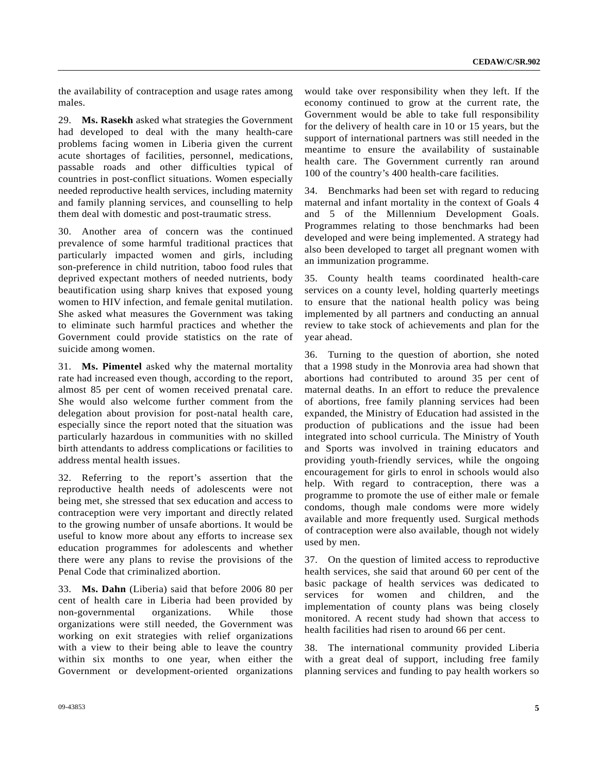the availability of contraception and usage rates among males.

29. **Ms. Rasekh** asked what strategies the Government had developed to deal with the many health-care problems facing women in Liberia given the current acute shortages of facilities, personnel, medications, passable roads and other difficulties typical of countries in post-conflict situations. Women especially needed reproductive health services, including maternity and family planning services, and counselling to help them deal with domestic and post-traumatic stress.

30. Another area of concern was the continued prevalence of some harmful traditional practices that particularly impacted women and girls, including son-preference in child nutrition, taboo food rules that deprived expectant mothers of needed nutrients, body beautification using sharp knives that exposed young women to HIV infection, and female genital mutilation. She asked what measures the Government was taking to eliminate such harmful practices and whether the Government could provide statistics on the rate of suicide among women.

31. **Ms. Pimentel** asked why the maternal mortality rate had increased even though, according to the report, almost 85 per cent of women received prenatal care. She would also welcome further comment from the delegation about provision for post-natal health care, especially since the report noted that the situation was particularly hazardous in communities with no skilled birth attendants to address complications or facilities to address mental health issues.

32. Referring to the report's assertion that the reproductive health needs of adolescents were not being met, she stressed that sex education and access to contraception were very important and directly related to the growing number of unsafe abortions. It would be useful to know more about any efforts to increase sex education programmes for adolescents and whether there were any plans to revise the provisions of the Penal Code that criminalized abortion.

33. **Ms. Dahn** (Liberia) said that before 2006 80 per cent of health care in Liberia had been provided by non-governmental organizations. While those organizations were still needed, the Government was working on exit strategies with relief organizations with a view to their being able to leave the country within six months to one year, when either the Government or development-oriented organizations would take over responsibility when they left. If the economy continued to grow at the current rate, the Government would be able to take full responsibility for the delivery of health care in 10 or 15 years, but the support of international partners was still needed in the meantime to ensure the availability of sustainable health care. The Government currently ran around 100 of the country's 400 health-care facilities.

34. Benchmarks had been set with regard to reducing maternal and infant mortality in the context of Goals 4 and 5 of the Millennium Development Goals. Programmes relating to those benchmarks had been developed and were being implemented. A strategy had also been developed to target all pregnant women with an immunization programme.

35. County health teams coordinated health-care services on a county level, holding quarterly meetings to ensure that the national health policy was being implemented by all partners and conducting an annual review to take stock of achievements and plan for the year ahead.

36. Turning to the question of abortion, she noted that a 1998 study in the Monrovia area had shown that abortions had contributed to around 35 per cent of maternal deaths. In an effort to reduce the prevalence of abortions, free family planning services had been expanded, the Ministry of Education had assisted in the production of publications and the issue had been integrated into school curricula. The Ministry of Youth and Sports was involved in training educators and providing youth-friendly services, while the ongoing encouragement for girls to enrol in schools would also help. With regard to contraception, there was a programme to promote the use of either male or female condoms, though male condoms were more widely available and more frequently used. Surgical methods of contraception were also available, though not widely used by men.

37. On the question of limited access to reproductive health services, she said that around 60 per cent of the basic package of health services was dedicated to services for women and children, and the implementation of county plans was being closely monitored. A recent study had shown that access to health facilities had risen to around 66 per cent.

38. The international community provided Liberia with a great deal of support, including free family planning services and funding to pay health workers so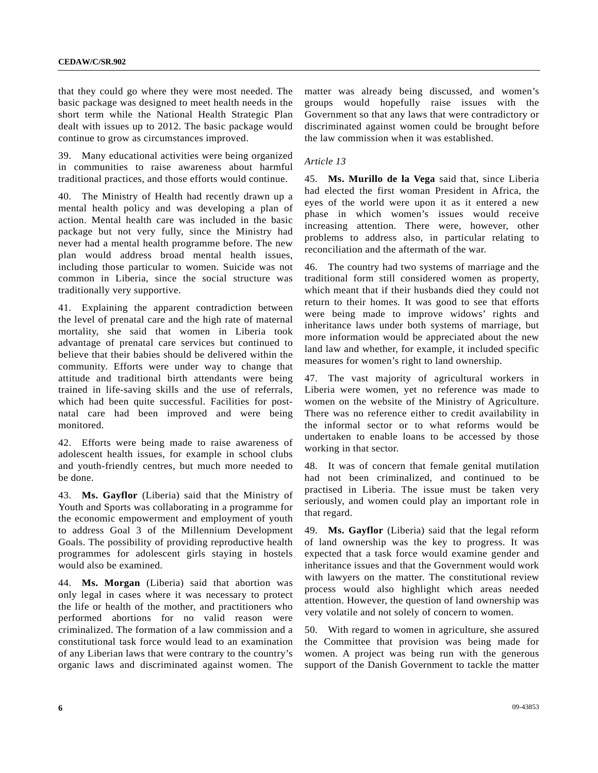that they could go where they were most needed. The basic package was designed to meet health needs in the short term while the National Health Strategic Plan dealt with issues up to 2012. The basic package would continue to grow as circumstances improved.

39. Many educational activities were being organized in communities to raise awareness about harmful traditional practices, and those efforts would continue.

40. The Ministry of Health had recently drawn up a mental health policy and was developing a plan of action. Mental health care was included in the basic package but not very fully, since the Ministry had never had a mental health programme before. The new plan would address broad mental health issues, including those particular to women. Suicide was not common in Liberia, since the social structure was traditionally very supportive.

41. Explaining the apparent contradiction between the level of prenatal care and the high rate of maternal mortality, she said that women in Liberia took advantage of prenatal care services but continued to believe that their babies should be delivered within the community. Efforts were under way to change that attitude and traditional birth attendants were being trained in life-saving skills and the use of referrals, which had been quite successful. Facilities for postnatal care had been improved and were being monitored.

42. Efforts were being made to raise awareness of adolescent health issues, for example in school clubs and youth-friendly centres, but much more needed to be done.

43. **Ms. Gayflor** (Liberia) said that the Ministry of Youth and Sports was collaborating in a programme for the economic empowerment and employment of youth to address Goal 3 of the Millennium Development Goals. The possibility of providing reproductive health programmes for adolescent girls staying in hostels would also be examined.

44. **Ms. Morgan** (Liberia) said that abortion was only legal in cases where it was necessary to protect the life or health of the mother, and practitioners who performed abortions for no valid reason were criminalized. The formation of a law commission and a constitutional task force would lead to an examination of any Liberian laws that were contrary to the country's organic laws and discriminated against women. The matter was already being discussed, and women's groups would hopefully raise issues with the Government so that any laws that were contradictory or discriminated against women could be brought before the law commission when it was established.

#### *Article 13*

45. **Ms. Murillo de la Vega** said that, since Liberia had elected the first woman President in Africa, the eyes of the world were upon it as it entered a new phase in which women's issues would receive increasing attention. There were, however, other problems to address also, in particular relating to reconciliation and the aftermath of the war.

46. The country had two systems of marriage and the traditional form still considered women as property, which meant that if their husbands died they could not return to their homes. It was good to see that efforts were being made to improve widows' rights and inheritance laws under both systems of marriage, but more information would be appreciated about the new land law and whether, for example, it included specific measures for women's right to land ownership.

47. The vast majority of agricultural workers in Liberia were women, yet no reference was made to women on the website of the Ministry of Agriculture. There was no reference either to credit availability in the informal sector or to what reforms would be undertaken to enable loans to be accessed by those working in that sector.

48. It was of concern that female genital mutilation had not been criminalized, and continued to be practised in Liberia. The issue must be taken very seriously, and women could play an important role in that regard.

49. **Ms. Gayflor** (Liberia) said that the legal reform of land ownership was the key to progress. It was expected that a task force would examine gender and inheritance issues and that the Government would work with lawyers on the matter. The constitutional review process would also highlight which areas needed attention. However, the question of land ownership was very volatile and not solely of concern to women.

50. With regard to women in agriculture, she assured the Committee that provision was being made for women. A project was being run with the generous support of the Danish Government to tackle the matter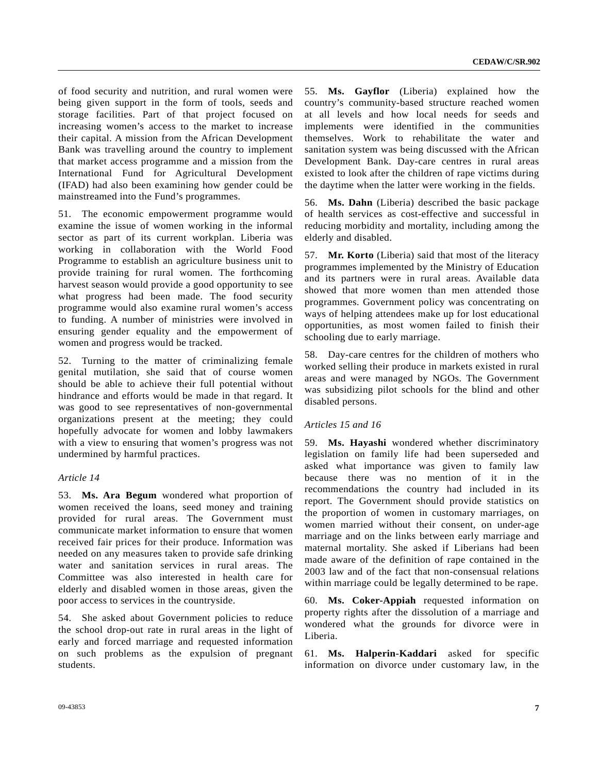of food security and nutrition, and rural women were being given support in the form of tools, seeds and storage facilities. Part of that project focused on increasing women's access to the market to increase their capital. A mission from the African Development Bank was travelling around the country to implement that market access programme and a mission from the International Fund for Agricultural Development (IFAD) had also been examining how gender could be mainstreamed into the Fund's programmes.

51. The economic empowerment programme would examine the issue of women working in the informal sector as part of its current workplan. Liberia was working in collaboration with the World Food Programme to establish an agriculture business unit to provide training for rural women. The forthcoming harvest season would provide a good opportunity to see what progress had been made. The food security programme would also examine rural women's access to funding. A number of ministries were involved in ensuring gender equality and the empowerment of women and progress would be tracked.

52. Turning to the matter of criminalizing female genital mutilation, she said that of course women should be able to achieve their full potential without hindrance and efforts would be made in that regard. It was good to see representatives of non-governmental organizations present at the meeting; they could hopefully advocate for women and lobby lawmakers with a view to ensuring that women's progress was not undermined by harmful practices.

#### *Article 14*

53. **Ms. Ara Begum** wondered what proportion of women received the loans, seed money and training provided for rural areas. The Government must communicate market information to ensure that women received fair prices for their produce. Information was needed on any measures taken to provide safe drinking water and sanitation services in rural areas. The Committee was also interested in health care for elderly and disabled women in those areas, given the poor access to services in the countryside.

54. She asked about Government policies to reduce the school drop-out rate in rural areas in the light of early and forced marriage and requested information on such problems as the expulsion of pregnant students.

55. **Ms. Gayflor** (Liberia) explained how the country's community-based structure reached women at all levels and how local needs for seeds and implements were identified in the communities themselves. Work to rehabilitate the water and sanitation system was being discussed with the African Development Bank. Day-care centres in rural areas existed to look after the children of rape victims during the daytime when the latter were working in the fields.

56. **Ms. Dahn** (Liberia) described the basic package of health services as cost-effective and successful in reducing morbidity and mortality, including among the elderly and disabled.

57. **Mr. Korto** (Liberia) said that most of the literacy programmes implemented by the Ministry of Education and its partners were in rural areas. Available data showed that more women than men attended those programmes. Government policy was concentrating on ways of helping attendees make up for lost educational opportunities, as most women failed to finish their schooling due to early marriage.

58. Day-care centres for the children of mothers who worked selling their produce in markets existed in rural areas and were managed by NGOs. The Government was subsidizing pilot schools for the blind and other disabled persons.

#### *Articles 15 and 16*

59. **Ms. Hayashi** wondered whether discriminatory legislation on family life had been superseded and asked what importance was given to family law because there was no mention of it in the recommendations the country had included in its report. The Government should provide statistics on the proportion of women in customary marriages, on women married without their consent, on under-age marriage and on the links between early marriage and maternal mortality. She asked if Liberians had been made aware of the definition of rape contained in the 2003 law and of the fact that non-consensual relations within marriage could be legally determined to be rape.

60. **Ms. Coker-Appiah** requested information on property rights after the dissolution of a marriage and wondered what the grounds for divorce were in Liberia.

61. **Ms. Halperin-Kaddari** asked for specific information on divorce under customary law, in the